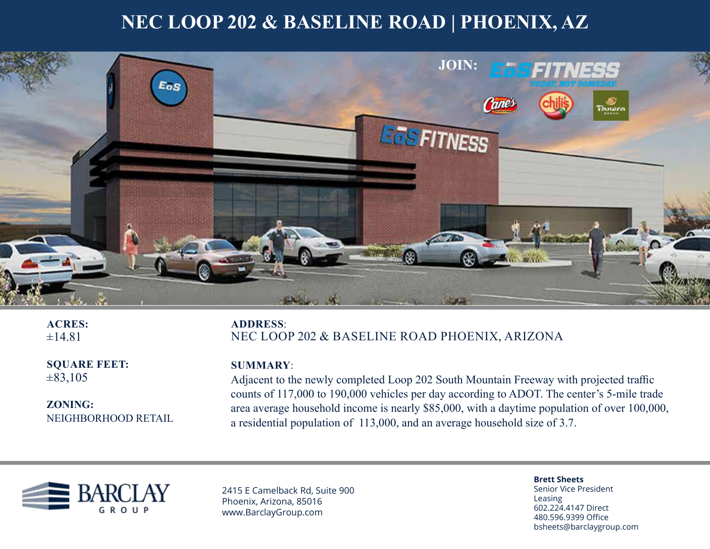## **NEC LOOP 202 & BASELINE ROAD | PHOENIX, AZ**



**ACRES:**  $±14.81$ 

**SQUARE FEET:**  $\pm 83,105$ 

**ZONING:** NEIGHBORHOOD RETAIL

**ADDRESS**: NEC LOOP 202 & BASELINE ROAD PHOENIX, ARIZONA

### **SUMMARY**:

Adjacent to the newly completed Loop 202 South Mountain Freeway with projected traffic counts of 117,000 to 190,000 vehicles per day according to ADOT. The center's 5-mile trade area average household income is nearly \$85,000, with a daytime population of over 100,000, a residential population of 113,000, and an average household size of 3.7.



2415 E Camelback Rd, Suite 900 Phoenix, Arizona, 85016 www.BarclayGroup.com

**Brett Sheets** Senior Vice President Leasing 602.224.4147 Direct 480.596.9399 Office

bsheets@barclaygroup.com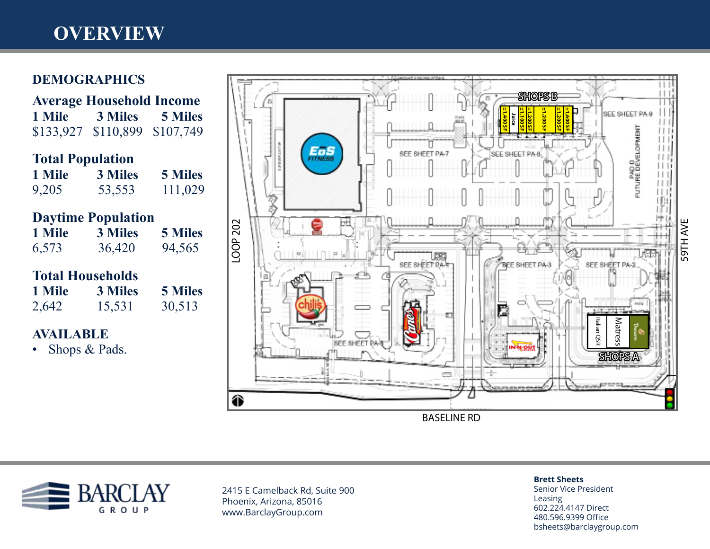# **OVERVIEW**

## **DEMOGRAPHICS**

| <b>Average Household Income</b> |                     |                |
|---------------------------------|---------------------|----------------|
| 1 Mile                          | 3 Miles             | <b>5 Miles</b> |
| \$133,927                       | \$110,899 \$107,749 |                |
| <b>Total Population</b>         |                     |                |
| 1 Mile                          | <b>3 Miles</b>      | <b>5 Miles</b> |
| 9,205                           | 53,553              | 111,029        |
| <b>Daytime Population</b>       |                     |                |
| 1 Mile                          | 3 Miles             | <b>5 Miles</b> |
| 6,573                           | 36,420              | 94,565         |
| <b>Total Households</b>         |                     |                |
| 1 Mile                          | <b>3 Miles</b>      | <b>5 Miles</b> |
| 2,642                           | 15,531              | 30,513         |

### **AVAILABLE**

• Shops & Pads.





2415 E Camelback Rd, Suite 900 Phoenix, Arizona, 85016 www.BarclayGroup.com

#### **Brett Sheets**

Senior Vice President Leasing 602.224.4147 Direct 480.596.9399 Office bsheets@barclaygroup.com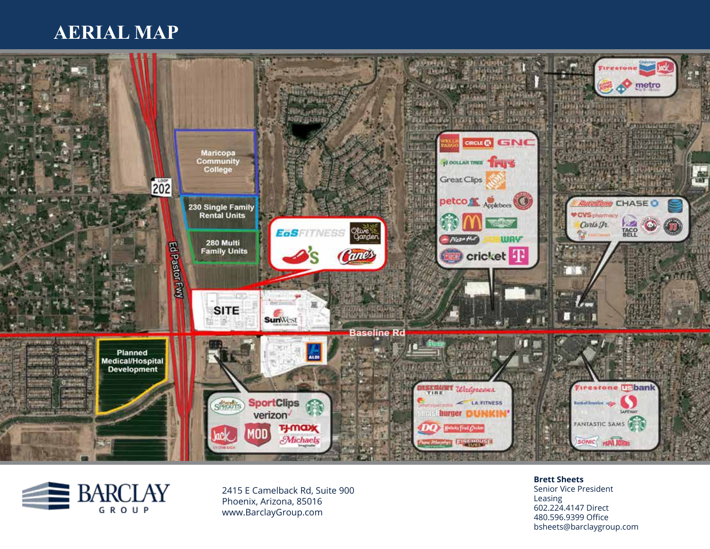## **AERIAL MAP**





2415 E Camelback Rd, Suite 900 Phoenix, Arizona, 85016 www.BarclayGroup.com

**Brett Sheets** Senior Vice President Leasing 602.224.4147 Direct 480.596.9399 Office bsheets@barclaygroup.com